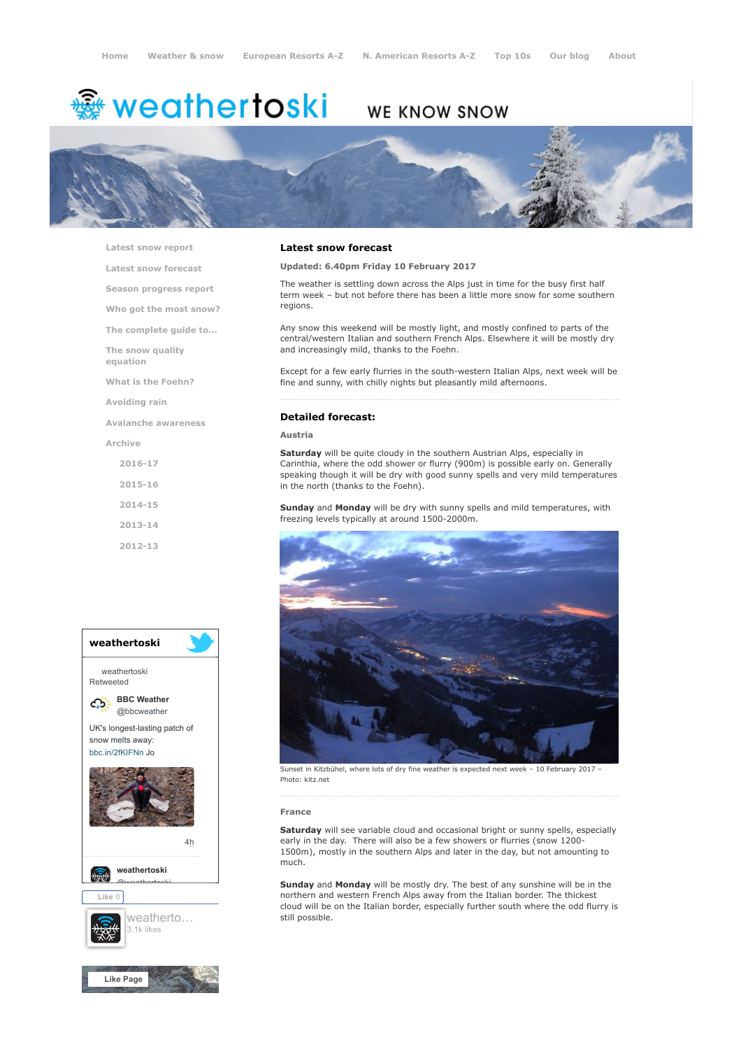# **※ weathertoski**

# WE KNOW SNOW



[Latest snow report](https://www.weathertoski.co.uk/weather-snow/latest-snow-report/)

[Latest snow forecast](https://www.weathertoski.co.uk/weather-snow/latest-snow-forecast/)

[Season progress report](https://www.weathertoski.co.uk/weather-snow/season-progress-report/)

[Who got the most snow?](https://www.weathertoski.co.uk/weather-snow/who-got-the-most-snow/)

[The complete guide to...](https://www.weathertoski.co.uk/weather-snow/the-complete-guide-to/)

[The snow quality](https://www.weathertoski.co.uk/weather-snow/the-snow-quality-equation/)

[What is the Foehn?](https://www.weathertoski.co.uk/weather-snow/what-is-the-foehn/)

[Avoiding rain](https://www.weathertoski.co.uk/weather-snow/avoiding-rain/)

[Avalanche awareness](https://www.weathertoski.co.uk/weather-snow/avalanche-awareness/)

[Archive](https://www.weathertoski.co.uk/weather-snow/archive/)

equation

[2016-17](https://www.weathertoski.co.uk/weather-snow/archive/2016-17/) [2015-16](https://www.weathertoski.co.uk/weather-snow/archive/2015-16/) [2014-15](https://www.weathertoski.co.uk/weather-snow/archive/2014-15/) [2013-14](https://www.weathertoski.co.uk/weather-snow/archive/2013-14/)

[2012-13](https://www.weathertoski.co.uk/weather-snow/archive/2012-13/)



### Latest snow forecast

Updated: 6.40pm Friday 10 February 2017

The weather is settling down across the Alps just in time for the busy first half term week – but not before there has been a little more snow for some southern regions.

Any snow this weekend will be mostly light, and mostly confined to parts of the central/western Italian and southern French Alps. Elsewhere it will be mostly dry and increasingly mild, thanks to the Foehn.

Except for a few early flurries in the south-western Italian Alps, next week will be fine and sunny, with chilly nights but pleasantly mild afternoons.

# Detailed forecast:

#### Austria

Saturday will be quite cloudy in the southern Austrian Alps, especially in Carinthia, where the odd shower or flurry (900m) is possible early on. Generally speaking though it will be dry with good sunny spells and very mild temperatures in the north (thanks to the Foehn).

Sunday and Monday will be dry with sunny spells and mild temperatures, with freezing levels typically at around 1500-2000m.



Sunset in Kitzbühel, where lots of dry fine weather is expected next week – 10 February 2017 – Photo: kitz.net

#### France

Saturday will see variable cloud and occasional bright or sunny spells, especially early in the day. There will also be a few showers or flurries (snow 1200-1500m), mostly in the southern Alps and later in the day, but not amounting to much.

Sunday and Monday will be mostly dry. The best of any sunshine will be in the northern and western French Alps away from the Italian border. The thickest cloud will be on the Italian border, especially further south where the odd flurry is still possible.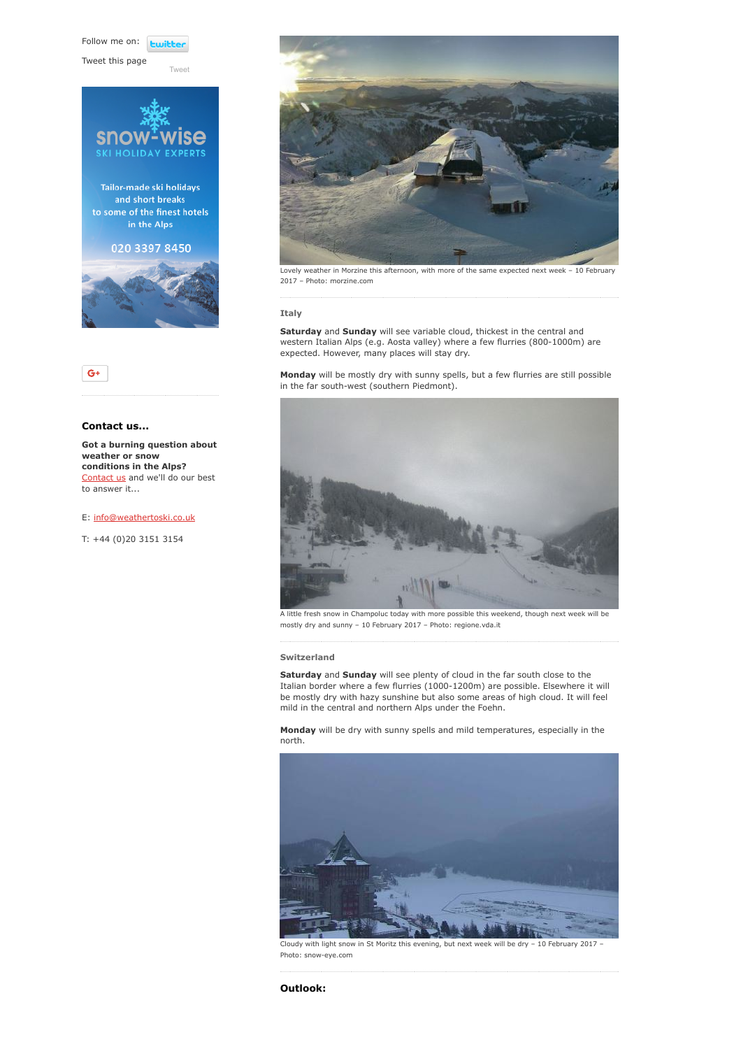Follow me on: **Lwitte** 

[Tweet](https://twitter.com/intent/tweet?original_referer=https%3A%2F%2Fwww.weathertoski.co.uk%2Fweather-snow%2Farchive%2Fsnow-forecast-10-02-2017%2F&ref_src=twsrc%5Etfw&text=Weather%20to%20ski%20-%20Snow%20forecast%20-%2010%20February%202017&tw_p=tweetbutton&url=https%3A%2F%2Fwww.weathertoski.co.uk%2Fweather-snow%2Farchive%2Fsnow-forecast-10-02-2017%2F)

Tweet this page





# Contact us...

Got a burning question about weather or snow conditions in the Alps? [Contact us](https://www.weathertoski.co.uk/about-1/contact-us/) and we'll do our best to answer it...

#### E: [info@weathertoski.co.uk](mailto:fraser@weathertoski.co.uk)

T: +44 (0)20 3151 3154



Lovely weather in Morzine this afternoon, with more of the same expected next week – 10 February 2017 – Photo: morzine.com

#### Italy

Saturday and Sunday will see variable cloud, thickest in the central and western Italian Alps (e.g. Aosta valley) where a few flurries (800-1000m) are expected. However, many places will stay dry.

Monday will be mostly dry with sunny spells, but a few flurries are still possible in the far south-west (southern Piedmont).



A little fresh snow in Champoluc today with more possible this weekend, though next week will be mostly dry and sunny – 10 February 2017 – Photo: regione.vda.it

## Switzerland

Saturday and Sunday will see plenty of cloud in the far south close to the Italian border where a few flurries (1000-1200m) are possible. Elsewhere it will be mostly dry with hazy sunshine but also some areas of high cloud. It will feel mild in the central and northern Alps under the Foehn.

Monday will be dry with sunny spells and mild temperatures, especially in the north.



Cloudy with light snow in St Moritz this evening, but next week will be dry – 10 February 2017 – Photo: snow-eye.com

Outlook: